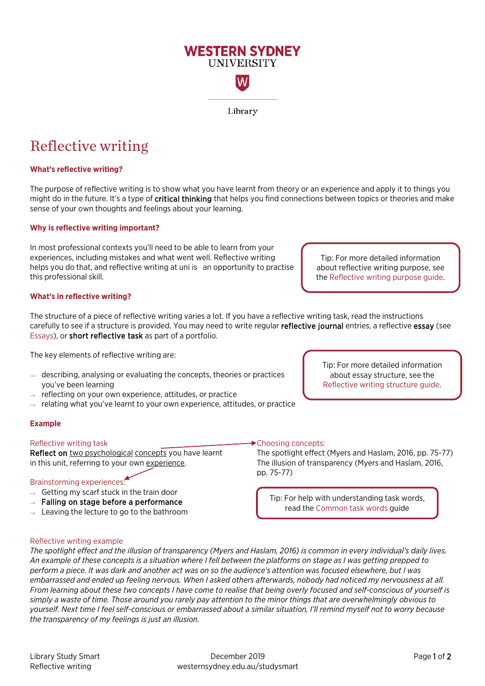## Library Study Smart December 2019 Page 1 of 2 Reflective writing westernsydney.edu.au/studysmart

## Reflective writing example

*The spotlight effect and the illusion of transparency (Myers and Haslam, 2016) is common in every individual's daily lives. An example of these concepts is a situation where I fell between the platforms on stage as I was getting prepped to perform a piece. It was dark and another act was on so the audience's attention was focused elsewhere, but I was embarrassed and ended up feeling nervous. When I asked others afterwards, nobody had noticed my nervousness at all. From learning about these two concepts I have come to realise that being overly focused and self-conscious of yourself is simply a waste of time. Those around you rarely pay attention to the minor things that are overwhelmingly obvious to yourself. Next time I feel self-conscious or embarrassed about a similar situation, I'll remind myself not to worry because the transparency of my feelings is just an illusion.*

- $\rightarrow$  Getting my scarf stuck in the train door
- Brainstorming experiences:

Falling on stage before a performance Leaving the lecture to go to the bathroom

- 
- 
- 
- 
- 
- 
- Reflect on two psychological concepts you have learnt in this unit, referring to your own experience.

# **Example**

Reflective writing task

[Essays\)](https://westernsydney.edu.au/studysmart/home/self-help_resources/assignment_help/writing), or short reflective task as part of a portfolio. The key elements of reflective writing are:

- $\rightarrow$  describing, analysing or evaluating the concepts, theories or practices
- 
- 
- you've been learning

sense of your own thoughts and feelings about your learning.

In most professional contexts you'll need to be able to learn from your experiences, including mistakes and what went well. Reflective writing

- 
- reflecting on your own experience, attitudes, or practice
- 
- 
- 
- 
- 
- 
- 
- 
- relating what you've learnt to your own experience, attitudes, or practice

Reflective writing

**Why is reflective writing important?** 

**What's reflective writing?** 

The structure of a piece of reflective writing varies a lot. If you have a reflective writing task, read the instructions carefully to see if a structure is provided. You may need to write regular reflective journal entries, a reflective essay (see

helps you do that, and reflective writing at uni is an opportunity to practise this professional skill. about reflective writing purpose, see th[e Reflective writing purpose guide.](https://westernsydney.edu.au/__data/assets/pdf_file/0004/1082686/Reflective_writing_Purpose.pdf) **What's in reflective writing?** 

Tip: For more detailed information about essay structure, see the [Reflective writing](https://westernsydney.edu.au/__data/assets/pdf_file/0007/1082779/Reflective_writing_Structure.pdf) structure guide.

Tip: For more detailed information

## Choosing concepts:

The spotlight effect (Myers and Haslam, 2016, pp. 75-77) The illusion of transparency (Myers and Haslam, 2016, pp. 75-77)

Tip: For help with understanding task words, read the [Common task words](https://westernsydney.edu.au/__data/assets/pdf_file/0010/1082476/Common_Task_Words.pdf) guide

Library

The purpose of reflective writing is to show what you have learnt from theory or an experience and apply it to things you might do in the future. It's a type of critical thinking that helps you find connections between topics or theories and make

**WESTERN SYDNEY UNIVERSITY** W